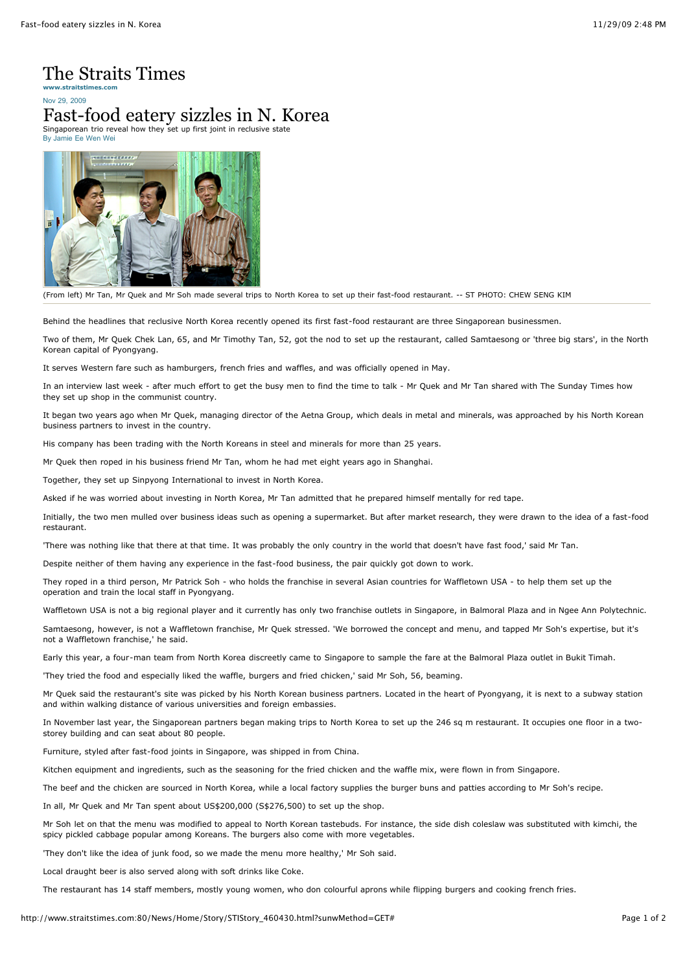## The Straits Times

Nov 29, 2009 **www.straitstimes.com**

## Fast-food eatery sizzles in N. Korea

Singaporean trio reveal how they set up first joint in reclusive state By Jamie Ee Wen Wei



(From left) Mr Tan, Mr Quek and Mr Soh made several trips to North Korea to set up their fast-food restaurant. -- ST PHOTO: CHEW SENG KIM

Behind the headlines that reclusive North Korea recently opened its first fast-food restaurant are three Singaporean businessmen.

Two of them, Mr Quek Chek Lan, 65, and Mr Timothy Tan, 52, got the nod to set up the restaurant, called Samtaesong or 'three big stars', in the North Korean capital of Pyongyang.

It serves Western fare such as hamburgers, french fries and waffles, and was officially opened in May.

In an interview last week - after much effort to get the busy men to find the time to talk - Mr Quek and Mr Tan shared with The Sunday Times how they set up shop in the communist country.

It began two years ago when Mr Quek, managing director of the Aetna Group, which deals in metal and minerals, was approached by his North Korean business partners to invest in the country.

His company has been trading with the North Koreans in steel and minerals for more than 25 years.

Mr Quek then roped in his business friend Mr Tan, whom he had met eight years ago in Shanghai.

Together, they set up Sinpyong International to invest in North Korea.

Asked if he was worried about investing in North Korea, Mr Tan admitted that he prepared himself mentally for red tape.

Initially, the two men mulled over business ideas such as opening a supermarket. But after market research, they were drawn to the idea of a fast-food restaurant.

'There was nothing like that there at that time. It was probably the only country in the world that doesn't have fast food,' said Mr Tan.

Despite neither of them having any experience in the fast-food business, the pair quickly got down to work.

They roped in a third person, Mr Patrick Soh - who holds the franchise in several Asian countries for Waffletown USA - to help them set up the operation and train the local staff in Pyongyang.

Waffletown USA is not a big regional player and it currently has only two franchise outlets in Singapore, in Balmoral Plaza and in Ngee Ann Polytechnic.

Samtaesong, however, is not a Waffletown franchise, Mr Quek stressed. 'We borrowed the concept and menu, and tapped Mr Soh's expertise, but it's not a Waffletown franchise,' he said.

Early this year, a four-man team from North Korea discreetly came to Singapore to sample the fare at the Balmoral Plaza outlet in Bukit Timah.

'They tried the food and especially liked the waffle, burgers and fried chicken,' said Mr Soh, 56, beaming.

Mr Quek said the restaurant's site was picked by his North Korean business partners. Located in the heart of Pyongyang, it is next to a subway station and within walking distance of various universities and foreign embassies.

In November last year, the Singaporean partners began making trips to North Korea to set up the 246 sq m restaurant. It occupies one floor in a twostorey building and can seat about 80 people.

Furniture, styled after fast-food joints in Singapore, was shipped in from China.

Kitchen equipment and ingredients, such as the seasoning for the fried chicken and the waffle mix, were flown in from Singapore.

The beef and the chicken are sourced in North Korea, while a local factory supplies the burger buns and patties according to Mr Soh's recipe.

In all, Mr Quek and Mr Tan spent about US\$200,000 (S\$276,500) to set up the shop.

Mr Soh let on that the menu was modified to appeal to North Korean tastebuds. For instance, the side dish coleslaw was substituted with kimchi, the spicy pickled cabbage popular among Koreans. The burgers also come with more vegetables.

'They don't like the idea of junk food, so we made the menu more healthy,' Mr Soh said.

Local draught beer is also served along with soft drinks like Coke.

The restaurant has 14 staff members, mostly young women, who don colourful aprons while flipping burgers and cooking french fries.